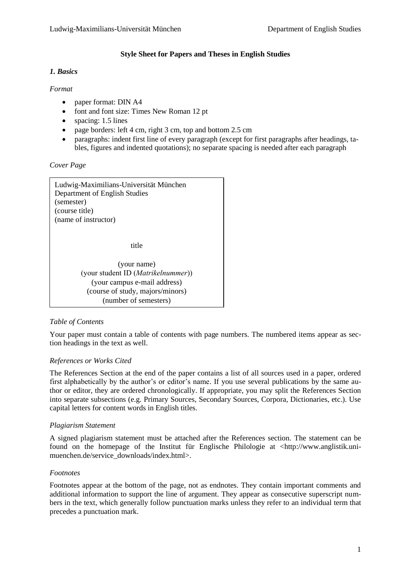### **Style Sheet for Papers and Theses in English Studies**

#### *1. Basics*

### *Format*

- paper format: DIN A4
- font and font size: Times New Roman 12 pt
- spacing: 1.5 lines
- page borders: left 4 cm, right 3 cm, top and bottom 2.5 cm
- paragraphs: indent first line of every paragraph (except for first paragraphs after headings, tables, figures and indented quotations); no separate spacing is needed after each paragraph

*Cover Page* 

Ludwig-Maximilians-Universität München Department of English Studies (semester) (course title) (name of instructor)

title

(your name) (your student ID (*Matrikelnummer*)) (your campus e-mail address) (course of study, majors/minors) (number of semesters)

# *Table of Contents*

Your paper must contain a table of contents with page numbers. The numbered items appear as section headings in the text as well.

# *References or Works Cited*

The References Section at the end of the paper contains a list of all sources used in a paper, ordered first alphabetically by the author's or editor's name. If you use several publications by the same author or editor, they are ordered chronologically. If appropriate, you may split the References Section into separate subsections (e.g. Primary Sources, Secondary Sources, Corpora, Dictionaries, etc.). Use capital letters for content words in English titles.

# *Plagiarism Statement*

A signed plagiarism statement must be attached after the References section. The statement can be found on the homepage of the Institut für Englische Philologie at <http://www.anglistik.unimuenchen.de/service\_downloads/index.html>.

# *Footnotes*

Footnotes appear at the bottom of the page, not as endnotes. They contain important comments and additional information to support the line of argument. They appear as consecutive superscript numbers in the text, which generally follow punctuation marks unless they refer to an individual term that precedes a punctuation mark.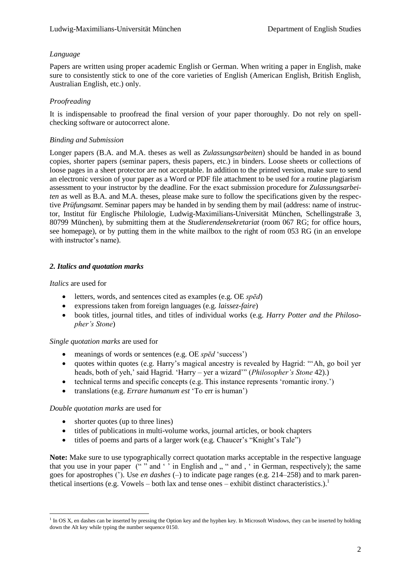### *Language*

Papers are written using proper academic English or German. When writing a paper in English, make sure to consistently stick to one of the core varieties of English (American English, British English, Australian English, etc.) only.

# *Proofreading*

It is indispensable to proofread the final version of your paper thoroughly. Do not rely on spellchecking software or autocorrect alone.

### *Binding and Submission*

Longer papers (B.A. and M.A. theses as well as *Zulassungsarbeiten*) should be handed in as bound copies, shorter papers (seminar papers, thesis papers, etc.) in binders. Loose sheets or collections of loose pages in a sheet protector are not acceptable. In addition to the printed version, make sure to send an electronic version of your paper as a Word or PDF file attachment to be used for a routine plagiarism assessment to your instructor by the deadline. For the exact submission procedure for *Zulassungsarbeiten* as well as B.A. and M.A. theses, please make sure to follow the specifications given by the respective *Prüfungsamt*. Seminar papers may be handed in by sending them by mail (address: name of instructor, Institut für Englische Philologie, Ludwig-Maximilians-Universität München, Schellingstraße 3, 80799 München), by submitting them at the *Studierendensekretariat* (room 067 RG; for office hours, see homepage), or by putting them in the white mailbox to the right of room 053 RG (in an envelope with instructor's name).

# *2. Italics and quotation marks*

*Italics* are used for

- letters, words, and sentences cited as examples (e.g. OE *spēd*)
- expressions taken from foreign languages (e.g. *laissez-faire*)
- book titles, journal titles, and titles of individual works (e.g. *Harry Potter and the Philosopher's Stone*)

#### *Single quotation marks* are used for

- meanings of words or sentences (e.g. OE *spēd* 'success')
- quotes within quotes (e.g. Harry's magical ancestry is revealed by Hagrid: "'Ah, go boil yer heads, both of yeh,' said Hagrid. 'Harry – yer a wizard'" (*Philosopher's Stone* 42).)
- technical terms and specific concepts (e.g. This instance represents 'romantic irony.')
- translations (e.g. *Errare humanum est* 'To err is human')

#### *Double quotation marks* are used for

- shorter quotes (up to three lines)
- titles of publications in multi-volume works, journal articles, or book chapters
- titles of poems and parts of a larger work (e.g. Chaucer's "Knight's Tale")

**Note:** Make sure to use typographically correct quotation marks acceptable in the respective language that you use in your paper ("" and '" in English and , " and , ' in German, respectively); the same goes for apostrophes ('). Use *en dashes* (–) to indicate page ranges (e.g. 214–258) and to mark parenthetical insertions (e.g. Vowels – both lax and tense ones – exhibit distinct characteristics.).

 1 In OS X, en dashes can be inserted by pressing the Option key and the hyphen key. In Microsoft Windows, they can be inserted by holding down the Alt key while typing the number sequence 0150.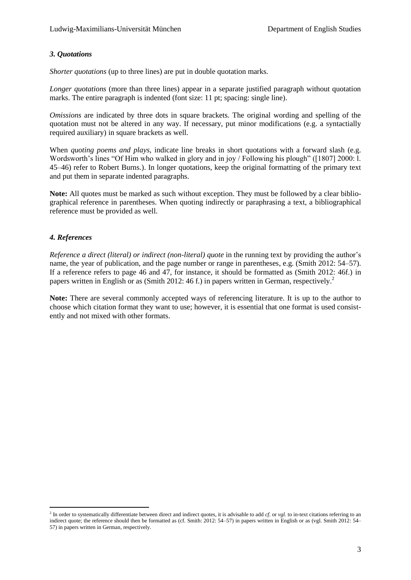### *3. Quotations*

*Shorter quotations* (up to three lines) are put in double quotation marks.

*Longer quotations* (more than three lines) appear in a separate justified paragraph without quotation marks. The entire paragraph is indented (font size: 11 pt; spacing: single line).

*Omissions* are indicated by three dots in square brackets. The original wording and spelling of the quotation must not be altered in any way. If necessary, put minor modifications (e.g. a syntactially required auxiliary) in square brackets as well.

When *quoting poems and plays*, indicate line breaks in short quotations with a forward slash (e.g. Wordsworth's lines "Of Him who walked in glory and in joy / Following his plough" ([1807] 2000: l. 45–46) refer to Robert Burns.). In longer quotations, keep the original formatting of the primary text and put them in separate indented paragraphs.

**Note:** All quotes must be marked as such without exception. They must be followed by a clear bibliographical reference in parentheses. When quoting indirectly or paraphrasing a text, a bibliographical reference must be provided as well.

# *4. References*

*Reference a direct (literal) or indirect (non-literal) quote* in the running text by providing the author's name, the year of publication, and the page number or range in parentheses, e.g. (Smith 2012: 54–57). If a reference refers to page 46 and 47, for instance, it should be formatted as (Smith 2012: 46f.) in papers written in English or as (Smith 2012: 46 f.) in papers written in German, respectively.<sup>2</sup>

**Note:** There are several commonly accepted ways of referencing literature. It is up to the author to choose which citation format they want to use; however, it is essential that one format is used consistently and not mixed with other formats.

 2 In order to systematically differentiate between direct and indirect quotes, it is advisable to add *cf.* or *vgl.* to in-text citations referring to an indirect quote; the reference should then be formatted as (cf. Smith: 2012: 54–57) in papers written in English or as (vgl. Smith 2012: 54– 57) in papers written in German, respectively.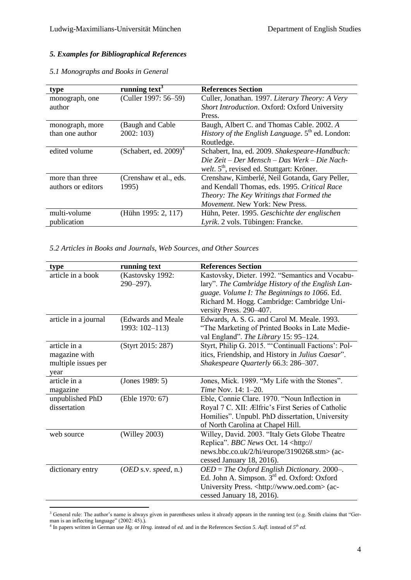# *5. Examples for Bibliographical References*

| type               | running text <sup>3</sup>            | <b>References Section</b>                                           |
|--------------------|--------------------------------------|---------------------------------------------------------------------|
| monograph, one     | (Culler 1997: 56–59)                 | Culler, Jonathan. 1997. Literary Theory: A Very                     |
| author             |                                      | Short Introduction. Oxford: Oxford University                       |
|                    |                                      | Press.                                                              |
| monograph, more    | (Baugh and Cable                     | Baugh, Albert C. and Thomas Cable. 2002. A                          |
| than one author    | 2002:103                             | <i>History of the English Language.</i> 5 <sup>th</sup> ed. London: |
|                    |                                      | Routledge.                                                          |
| edited volume      | (Schabert, ed. $2009$ ) <sup>4</sup> | Schabert, Ina, ed. 2009. Shakespeare-Handbuch:                      |
|                    |                                      | Die Zeit – Der Mensch – Das Werk – Die Nach-                        |
|                    |                                      | welt. 5 <sup>th</sup> , revised ed. Stuttgart: Kröner.              |
| more than three    | (Crenshaw et al., eds.)              | Crenshaw, Kimberlé, Neil Gotanda, Gary Peller,                      |
| authors or editors | 1995)                                | and Kendall Thomas, eds. 1995. Critical Race                        |
|                    |                                      | Theory: The Key Writings that Formed the                            |
|                    |                                      | Movement. New York: New Press.                                      |
| multi-volume       | (Hühn 1995: 2, 117)                  | Hühn, Peter. 1995. Geschichte der englischen                        |
| publication        |                                      | Lyrik. 2 vols. Tübingen: Francke.                                   |

#### *5.1 Monographs and Books in General*

*5.2 Articles in Books and Journals, Web Sources, and Other Sources*

| type                 | running text         | <b>References Section</b>                               |
|----------------------|----------------------|---------------------------------------------------------|
| article in a book    | (Kastovsky 1992:     | Kastovsky, Dieter. 1992. "Semantics and Vocabu-         |
|                      | $290 - 297$ ).       | lary". The Cambridge History of the English Lan-        |
|                      |                      | guage. Volume I: The Beginnings to 1066. Ed.            |
|                      |                      | Richard M. Hogg. Cambridge: Cambridge Uni-              |
|                      |                      | versity Press. 290-407.                                 |
| article in a journal | (Edwards and Meale   | Edwards, A. S. G. and Carol M. Meale. 1993.             |
|                      | 1993: 102-113)       | "The Marketing of Printed Books in Late Medie-          |
|                      |                      | val England". The Library 15: 95-124.                   |
| article in a         | (Styrt 2015: 287)    | Styrt, Philip G. 2015. "Continuall Factions': Pol-      |
| magazine with        |                      | itics, Friendship, and History in Julius Caesar".       |
| multiple issues per  |                      | Shakespeare Quarterly 66.3: 286-307.                    |
| year                 |                      |                                                         |
| article in a         | (Jones 1989: 5)      | Jones, Mick. 1989. "My Life with the Stones".           |
| magazine             |                      | Time Nov. 14: 1-20.                                     |
| unpublished PhD      | (Eble 1970: 67)      | Eble, Connie Clare. 1970. "Noun Inflection in           |
| dissertation         |                      | Royal 7 C. XII: Ælfric's First Series of Catholic       |
|                      |                      | Homilies". Unpubl. PhD dissertation, University         |
|                      |                      | of North Carolina at Chapel Hill.                       |
| web source           | (Willey 2003)        | Willey, David. 2003. "Italy Gets Globe Theatre          |
|                      |                      | Replica". BBC News Oct. 14 <http: <="" td=""></http:>   |
|                      |                      | news.bbc.co.uk/2/hi/europe/3190268.stm> (ac-            |
|                      |                      | cessed January 18, 2016).                               |
| dictionary entry     | (OED s.v. speed, n.) | $OED = The Oxford English Dictionary. 2000-.$           |
|                      |                      | Ed. John A. Simpson. 3 <sup>rd</sup> ed. Oxford: Oxford |
|                      |                      | University Press. <http: www.oed.com=""> (ac-</http:>   |
|                      |                      | cessed January 18, 2016).                               |

 $\overline{a}$  $3$  General rule: The author's name is always given in parentheses unless it already appears in the running text (e.g. Smith claims that "German is an inflecting language" (2002: 45).).<br><sup>4</sup> In papers written in German use *Hg.* or *Hrsg.* instead of *ed.* and in the References Section *5. Aufl.* instead of *5<sup>th</sup> ed.*